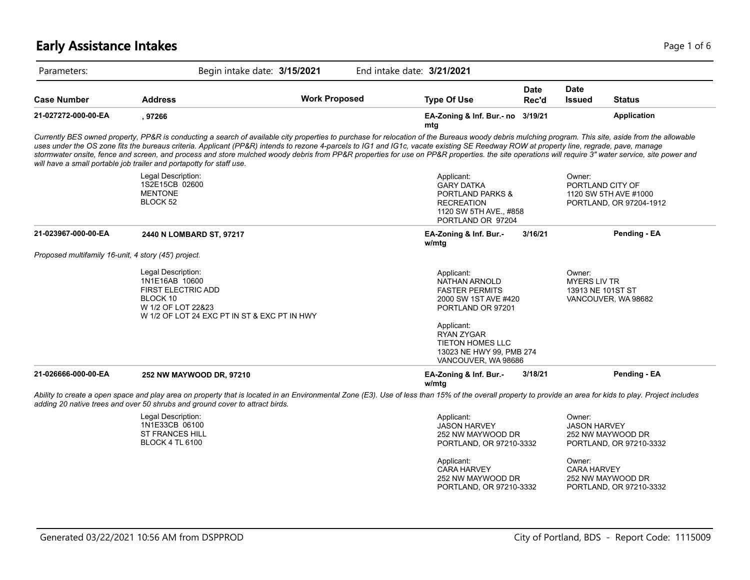# **Early Assistance Intakes** Page 1 of 6 and 2012 12:00 Page 1 of 6 and 2012 12:00 Page 1 of 6

| Parameters:                                          | Begin intake date: 3/15/2021                                                                                                                        |                      | End intake date: 3/21/2021                                                                                                                                                                                                                                                                                                                                                                                                                                                                                                                                                                          |                      |                                                    |                                                                      |
|------------------------------------------------------|-----------------------------------------------------------------------------------------------------------------------------------------------------|----------------------|-----------------------------------------------------------------------------------------------------------------------------------------------------------------------------------------------------------------------------------------------------------------------------------------------------------------------------------------------------------------------------------------------------------------------------------------------------------------------------------------------------------------------------------------------------------------------------------------------------|----------------------|----------------------------------------------------|----------------------------------------------------------------------|
| <b>Case Number</b>                                   | <b>Address</b>                                                                                                                                      | <b>Work Proposed</b> | <b>Type Of Use</b>                                                                                                                                                                                                                                                                                                                                                                                                                                                                                                                                                                                  | <b>Date</b><br>Rec'd | <b>Date</b><br><b>Issued</b>                       | <b>Status</b>                                                        |
| 21-027272-000-00-EA                                  | , 97266                                                                                                                                             |                      | EA-Zoning & Inf. Bur.- no 3/19/21<br>mtg                                                                                                                                                                                                                                                                                                                                                                                                                                                                                                                                                            |                      |                                                    | <b>Application</b>                                                   |
|                                                      | will have a small portable job trailer and portapotty for staff use.                                                                                |                      | Currently BES owned property, PP&R is conducting a search of available city properties to purchase for relocation of the Bureaus woody debris mulching program. This site, aside from the allowable<br>uses under the OS zone fits the bureaus criteria. Applicant (PP&R) intends to rezone 4-parcels to IG1 and IG1c, vacate existing SE Reedway ROW at property line, regrade, pave, manage<br>stormwater onsite, fence and screen, and process and store mulched woody debris from PP&R properties for use on PP&R properties. the site operations will require 3" water service, site power and |                      |                                                    |                                                                      |
|                                                      | Legal Description:<br>1S2E15CB 02600<br><b>MENTONE</b><br>BLOCK 52                                                                                  |                      | Applicant:<br><b>GARY DATKA</b><br><b>PORTLAND PARKS &amp;</b><br><b>RECREATION</b><br>1120 SW 5TH AVE., #858<br>PORTLAND OR 97204                                                                                                                                                                                                                                                                                                                                                                                                                                                                  |                      | Owner:                                             | PORTLAND CITY OF<br>1120 SW 5TH AVE #1000<br>PORTLAND, OR 97204-1912 |
| 21-023967-000-00-EA                                  | 2440 N LOMBARD ST, 97217                                                                                                                            |                      | EA-Zoning & Inf. Bur.-<br>w/mtg                                                                                                                                                                                                                                                                                                                                                                                                                                                                                                                                                                     | 3/16/21              |                                                    | Pending - EA                                                         |
| Proposed multifamily 16-unit, 4 story (45') project. |                                                                                                                                                     |                      |                                                                                                                                                                                                                                                                                                                                                                                                                                                                                                                                                                                                     |                      |                                                    |                                                                      |
|                                                      | Legal Description:<br>1N1E16AB 10600<br><b>FIRST ELECTRIC ADD</b><br>BLOCK 10<br>W 1/2 OF LOT 22&23<br>W 1/2 OF LOT 24 EXC PT IN ST & EXC PT IN HWY |                      | Applicant:<br><b>NATHAN ARNOLD</b><br><b>FASTER PERMITS</b><br>2000 SW 1ST AVE #420<br>PORTLAND OR 97201                                                                                                                                                                                                                                                                                                                                                                                                                                                                                            |                      | Owner:<br><b>MYERS LIV TR</b><br>13913 NE 101ST ST | VANCOUVER, WA 98682                                                  |
|                                                      |                                                                                                                                                     |                      | Applicant:<br><b>RYAN ZYGAR</b><br><b>TIETON HOMES LLC</b><br>13023 NE HWY 99, PMB 274<br>VANCOUVER, WA 98686                                                                                                                                                                                                                                                                                                                                                                                                                                                                                       |                      |                                                    |                                                                      |
| 21-026666-000-00-EA                                  | 252 NW MAYWOOD DR, 97210                                                                                                                            |                      | EA-Zoning & Inf. Bur.-<br>w/mtg                                                                                                                                                                                                                                                                                                                                                                                                                                                                                                                                                                     | 3/18/21              |                                                    | Pending - EA                                                         |
|                                                      | adding 20 native trees and over 50 shrubs and ground cover to attract birds.                                                                        |                      | Ability to create a open space and play area on property that is located in an Environmental Zone (E3). Use of less than 15% of the overall property to provide an area for kids to play. Project includes                                                                                                                                                                                                                                                                                                                                                                                          |                      |                                                    |                                                                      |
|                                                      | Legal Description:<br>1N1E33CB 06100<br><b>ST FRANCES HILL</b><br><b>BLOCK 4 TL 6100</b>                                                            |                      | Applicant:<br><b>JASON HARVEY</b><br>252 NW MAYWOOD DR<br>PORTLAND, OR 97210-3332                                                                                                                                                                                                                                                                                                                                                                                                                                                                                                                   |                      | Owner:<br><b>JASON HARVEY</b>                      | 252 NW MAYWOOD DR<br>PORTLAND, OR 97210-3332                         |
|                                                      |                                                                                                                                                     |                      | Applicant:<br><b>CARA HARVEY</b><br>252 NW MAYWOOD DR                                                                                                                                                                                                                                                                                                                                                                                                                                                                                                                                               |                      | Owner:<br><b>CARA HARVEY</b>                       | 252 NW MAYWOOD DR                                                    |

PORTLAND, OR 97210-3332

PORTLAND, OR 97210-3332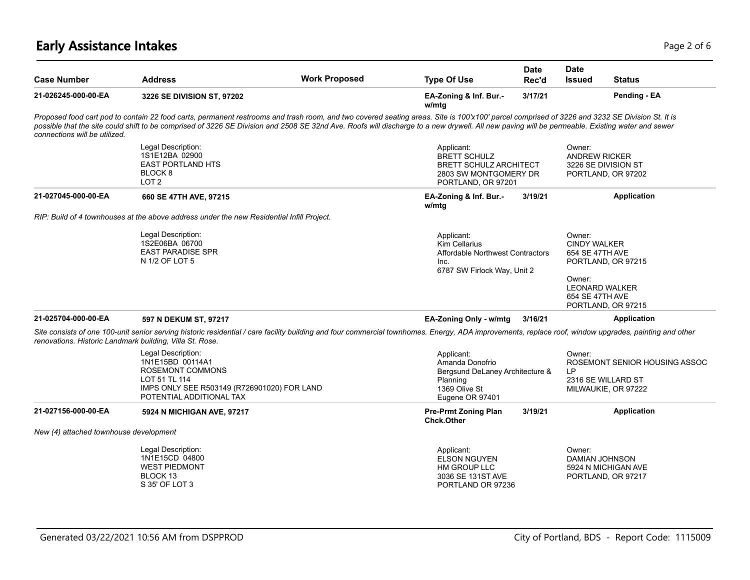# **Early Assistance Intakes** Page 2 of 6 and 2 of 6 and 2 of 6 and 2 of 6 and 2 of 6 and 2 of 6 and 2 of 6 and 2 of 6

| <b>Case Number</b>                     | <b>Address</b>                                                                                                                                                                                                                                                                                                                                                                                  | <b>Work Proposed</b> | <b>Type Of Use</b>                                                                                                | <b>Date</b><br>Rec'd | <b>Date</b><br><b>Issued</b>                                                                           | <b>Status</b>                                                              |
|----------------------------------------|-------------------------------------------------------------------------------------------------------------------------------------------------------------------------------------------------------------------------------------------------------------------------------------------------------------------------------------------------------------------------------------------------|----------------------|-------------------------------------------------------------------------------------------------------------------|----------------------|--------------------------------------------------------------------------------------------------------|----------------------------------------------------------------------------|
| 21-026245-000-00-EA                    | 3226 SE DIVISION ST, 97202                                                                                                                                                                                                                                                                                                                                                                      |                      | EA-Zoning & Inf. Bur.-<br>w/mtg                                                                                   | 3/17/21              |                                                                                                        | Pending - EA                                                               |
| connections will be utilized.          | Proposed food cart pod to contain 22 food carts, permanent restrooms and trash room, and two covered seating areas. Site is 100'x100' parcel comprised of 3226 and 3232 SE Division St. It is<br>possible that the site could shift to be comprised of 3226 SE Division and 2508 SE 32nd Ave. Roofs will discharge to a new drywell. All new paving will be permeable. Existing water and sewer |                      |                                                                                                                   |                      |                                                                                                        |                                                                            |
|                                        | Legal Description:<br>1S1E12BA 02900<br><b>EAST PORTLAND HTS</b><br>BLOCK 8<br>LOT <sub>2</sub>                                                                                                                                                                                                                                                                                                 |                      | Applicant:<br><b>BRETT SCHULZ</b><br><b>BRETT SCHULZ ARCHITECT</b><br>2803 SW MONTGOMERY DR<br>PORTLAND, OR 97201 |                      | Owner:<br><b>ANDREW RICKER</b>                                                                         | 3226 SE DIVISION ST<br>PORTLAND, OR 97202                                  |
| 21-027045-000-00-EA                    | 660 SE 47TH AVE, 97215                                                                                                                                                                                                                                                                                                                                                                          |                      | EA-Zoning & Inf. Bur.-<br>w/mtg                                                                                   | 3/19/21              |                                                                                                        | <b>Application</b>                                                         |
|                                        | RIP: Build of 4 townhouses at the above address under the new Residential Infill Project.                                                                                                                                                                                                                                                                                                       |                      |                                                                                                                   |                      |                                                                                                        |                                                                            |
|                                        | Legal Description:<br>1S2E06BA 06700<br><b>EAST PARADISE SPR</b><br>N 1/2 OF LOT 5                                                                                                                                                                                                                                                                                                              |                      | Applicant:<br><b>Kim Cellarius</b><br>Affordable Northwest Contractors<br>Inc.<br>6787 SW Firlock Way, Unit 2     |                      | Owner:<br><b>CINDY WALKER</b><br>654 SE 47TH AVE<br>Owner:<br><b>LEONARD WALKER</b><br>654 SE 47TH AVE | PORTLAND, OR 97215                                                         |
| 21-025704-000-00-EA                    | 597 N DEKUM ST, 97217                                                                                                                                                                                                                                                                                                                                                                           |                      | EA-Zoning Only - w/mtg                                                                                            | 3/16/21              | PORTLAND, OR 97215<br><b>Application</b>                                                               |                                                                            |
|                                        | Site consists of one 100-unit senior serving historic residential / care facility building and four commercial townhomes. Energy, ADA improvements, replace roof, window upgrades, painting and other<br>renovations. Historic Landmark building, Villa St. Rose.                                                                                                                               |                      |                                                                                                                   |                      |                                                                                                        |                                                                            |
|                                        | Legal Description:<br>1N1E15BD 00114A1<br>ROSEMONT COMMONS<br>LOT 51 TL 114<br>IMPS ONLY SEE R503149 (R726901020) FOR LAND<br>POTENTIAL ADDITIONAL TAX                                                                                                                                                                                                                                          |                      | Applicant:<br>Amanda Donofrio<br>Bergsund DeLaney Architecture &<br>Planning<br>1369 Olive St<br>Eugene OR 97401  |                      | Owner:<br>LP                                                                                           | ROSEMONT SENIOR HOUSING ASSOC<br>2316 SE WILLARD ST<br>MILWAUKIE, OR 97222 |
| 21-027156-000-00-EA                    | 5924 N MICHIGAN AVE, 97217                                                                                                                                                                                                                                                                                                                                                                      |                      | <b>Pre-Prmt Zoning Plan</b><br><b>Chck.Other</b>                                                                  | 3/19/21              |                                                                                                        | <b>Application</b>                                                         |
| New (4) attached townhouse development |                                                                                                                                                                                                                                                                                                                                                                                                 |                      |                                                                                                                   |                      |                                                                                                        |                                                                            |
|                                        | Legal Description:<br>1N1E15CD 04800<br><b>WEST PIEDMONT</b><br>BLOCK 13<br>S 35' OF LOT 3                                                                                                                                                                                                                                                                                                      |                      | Applicant:<br><b>ELSON NGUYEN</b><br>HM GROUP LLC<br>3036 SE 131ST AVE<br>PORTLAND OR 97236                       |                      | Owner:<br>DAMIAN JOHNSON                                                                               | 5924 N MICHIGAN AVE<br>PORTLAND, OR 97217                                  |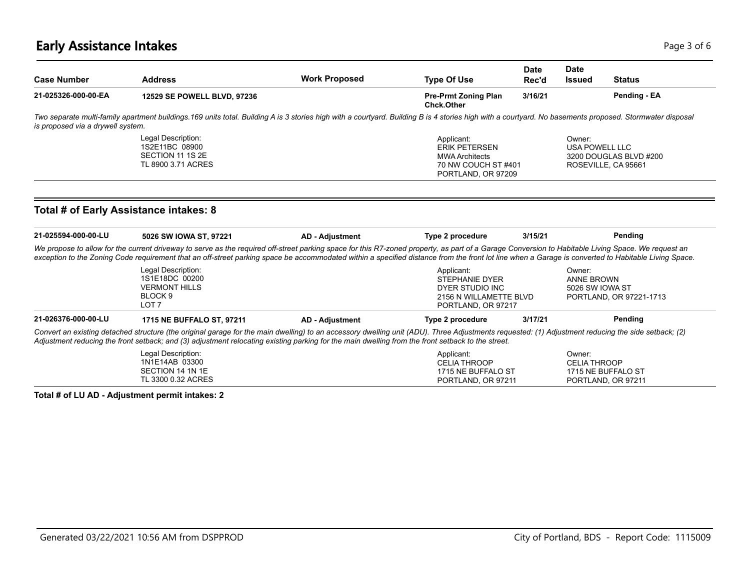### **Early Assistance Intakes** Page 1 of 6 and 2 and 2 and 2 and 2 and 2 and 2 and 2 and 2 and 2 and 2 and 2 and 2 and 2 and 2 and 2 and 2 and 2 and 2 and 2 and 2 and 2 and 2 and 2 and 2 and 2 and 2 and 2 and 2 and 2 and 2 and

| <b>Case Number</b>                | <b>Address</b>                                                                                                                                                                                                                                                                                                                                                                                            | <b>Work Proposed</b>   | <b>Type Of Use</b>                                                                                     | <b>Date</b><br>Rec'd                     | <b>Date</b><br><b>Issued</b>                   | <b>Status</b>                                                             |  |
|-----------------------------------|-----------------------------------------------------------------------------------------------------------------------------------------------------------------------------------------------------------------------------------------------------------------------------------------------------------------------------------------------------------------------------------------------------------|------------------------|--------------------------------------------------------------------------------------------------------|------------------------------------------|------------------------------------------------|---------------------------------------------------------------------------|--|
| 21-025326-000-00-EA               | 12529 SE POWELL BLVD, 97236                                                                                                                                                                                                                                                                                                                                                                               |                        | <b>Pre-Prmt Zoning Plan</b><br><b>Chck.Other</b>                                                       | 3/16/21                                  |                                                | Pending - EA                                                              |  |
| is proposed via a drywell system. | Two separate multi-family apartment buildings.169 units total. Building A is 3 stories high with a courtyard. Building B is 4 stories high with a courtyard. No basements proposed. Stormwater disposal                                                                                                                                                                                                   |                        |                                                                                                        |                                          |                                                |                                                                           |  |
|                                   | Legal Description:<br>1S2E11BC 08900<br>SECTION 11 1S 2E<br>TL 8900 3.71 ACRES                                                                                                                                                                                                                                                                                                                            |                        | Applicant:<br><b>ERIK PETERSEN</b><br><b>MWA Architects</b>                                            | 70 NW COUCH ST#401<br>PORTLAND, OR 97209 |                                                | Owner:<br>USA POWELL LLC<br>3200 DOUGLAS BLVD #200<br>ROSEVILLE, CA 95661 |  |
|                                   | Total # of Early Assistance intakes: 8                                                                                                                                                                                                                                                                                                                                                                    |                        |                                                                                                        |                                          |                                                |                                                                           |  |
| 21-025594-000-00-LU               | 5026 SW IOWA ST, 97221                                                                                                                                                                                                                                                                                                                                                                                    | <b>AD - Adjustment</b> | Type 2 procedure                                                                                       | 3/15/21                                  |                                                | Pending                                                                   |  |
|                                   | We propose to allow for the current driveway to serve as the required off-street parking space for this R7-zoned property, as part of a Garage Conversion to Habitable Living Space. We request an<br>exception to the Zoning Code requirement that an off-street parking space be accommodated within a specified distance from the front lot line when a Garage is converted to Habitable Living Space. |                        |                                                                                                        |                                          |                                                |                                                                           |  |
|                                   | Legal Description:<br>1S1E18DC 00200<br><b>VERMONT HILLS</b><br>BLOCK <sub>9</sub><br>LOT <sub>7</sub>                                                                                                                                                                                                                                                                                                    |                        | Applicant:<br><b>STEPHANIE DYER</b><br>DYER STUDIO INC<br>2156 N WILLAMETTE BLVD<br>PORTLAND, OR 97217 |                                          | Owner:<br><b>ANNE BROWN</b><br>5026 SW IOWA ST | PORTLAND, OR 97221-1713                                                   |  |
| 21-026376-000-00-LU               | 1715 NE BUFFALO ST, 97211                                                                                                                                                                                                                                                                                                                                                                                 | <b>AD - Adjustment</b> | Type 2 procedure                                                                                       | 3/17/21                                  |                                                | Pending                                                                   |  |
|                                   | Convert an existing detached structure (the original garage for the main dwelling) to an accessory dwelling unit (ADU). Three Adjustments requested: (1) Adjustment reducing the side setback; (2)<br>Adjustment reducing the front setback; and (3) adjustment relocating existing parking for the main dwelling from the front setback to the street.                                                   |                        |                                                                                                        |                                          |                                                |                                                                           |  |
|                                   | Legal Description:<br>1N1E14AB 03300<br>SECTION 14 1N 1E                                                                                                                                                                                                                                                                                                                                                  |                        | Applicant:<br><b>CELIA THROOP</b><br>1715 NE BUFFALO ST                                                |                                          | Owner:<br><b>CELIA THROOP</b>                  | 1715 NE BUFFALO ST                                                        |  |

**Total # of LU AD - Adjustment permit intakes: 2**

TL 3300 0.32 ACRES

PORTLAND, OR 97211

PORTLAND, OR 97211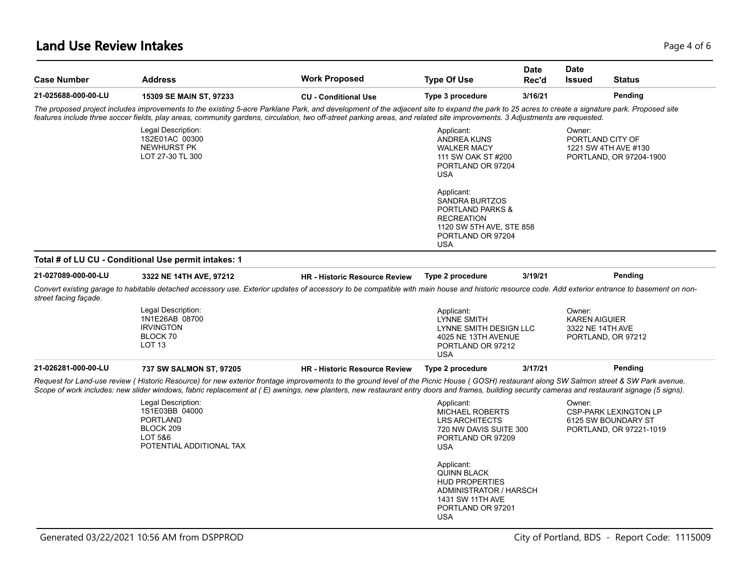### **Land Use Review Intakes** Page 4 of 6

| <b>Case Number</b>    | <b>Address</b>                                                                                                                                                                                                                                                                                                                                                                                 | <b>Work Proposed</b>                 | <b>Type Of Use</b>                                                                                                                                     | <b>Date</b><br>Rec'd | <b>Date</b><br>Issued                              | <b>Status</b>                                                                  |
|-----------------------|------------------------------------------------------------------------------------------------------------------------------------------------------------------------------------------------------------------------------------------------------------------------------------------------------------------------------------------------------------------------------------------------|--------------------------------------|--------------------------------------------------------------------------------------------------------------------------------------------------------|----------------------|----------------------------------------------------|--------------------------------------------------------------------------------|
| 21-025688-000-00-LU   | 15309 SE MAIN ST, 97233                                                                                                                                                                                                                                                                                                                                                                        | <b>CU - Conditional Use</b>          | Type 3 procedure                                                                                                                                       | 3/16/21              |                                                    | Pending                                                                        |
|                       | The proposed project includes improvements to the existing 5-acre Parklane Park, and development of the adjacent site to expand the park to 25 acres to create a signature park. Proposed site<br>features include three soccer fields, play areas, community gardens, circulation, two off-street parking areas, and related site improvements. 3 Adjustments are requested.                  |                                      |                                                                                                                                                        |                      |                                                    |                                                                                |
|                       | Legal Description:<br>1S2E01AC 00300<br>NEWHURST PK<br>LOT 27-30 TL 300                                                                                                                                                                                                                                                                                                                        |                                      | Applicant:<br><b>ANDREA KUNS</b><br><b>WALKER MACY</b><br>111 SW OAK ST #200<br>PORTLAND OR 97204<br><b>USA</b>                                        |                      | Owner:<br>PORTLAND CITY OF                         | 1221 SW 4TH AVE #130<br>PORTLAND, OR 97204-1900                                |
|                       |                                                                                                                                                                                                                                                                                                                                                                                                |                                      | Applicant:<br><b>SANDRA BURTZOS</b><br><b>PORTLAND PARKS &amp;</b><br><b>RECREATION</b><br>1120 SW 5TH AVE, STE 858<br>PORTLAND OR 97204<br><b>USA</b> |                      |                                                    |                                                                                |
|                       | Total # of LU CU - Conditional Use permit intakes: 1                                                                                                                                                                                                                                                                                                                                           |                                      |                                                                                                                                                        |                      |                                                    |                                                                                |
| 21-027089-000-00-LU   | 3322 NE 14TH AVE, 97212                                                                                                                                                                                                                                                                                                                                                                        | <b>HR - Historic Resource Review</b> | Type 2 procedure                                                                                                                                       | 3/19/21              |                                                    | Pending                                                                        |
| street facing façade. | Convert existing garage to habitable detached accessory use. Exterior updates of accessory to be compatible with main house and historic resource code. Add exterior entrance to basement on non-                                                                                                                                                                                              |                                      |                                                                                                                                                        |                      |                                                    |                                                                                |
|                       | Legal Description:<br>1N1E26AB 08700<br><b>IRVINGTON</b><br>BLOCK 70<br>LOT <sub>13</sub>                                                                                                                                                                                                                                                                                                      |                                      | Applicant:<br>LYNNE SMITH<br>LYNNE SMITH DESIGN LLC<br>4025 NE 13TH AVENUE<br>PORTLAND OR 97212<br><b>USA</b>                                          |                      | Owner:<br><b>KAREN AIGUIER</b><br>3322 NE 14TH AVE | PORTLAND, OR 97212                                                             |
| 21-026281-000-00-LU   | 737 SW SALMON ST, 97205                                                                                                                                                                                                                                                                                                                                                                        | <b>HR - Historic Resource Review</b> | Type 2 procedure                                                                                                                                       | 3/17/21              |                                                    | Pending                                                                        |
|                       | Request for Land-use review ( Historic Resource) for new exterior frontage improvements to the ground level of the Picnic House ( GOSH) restaurant along SW Salmon street & SW Park avenue.<br>Scope of work includes: new slider windows, fabric replacement at (E) awnings, new planters, new restaurant entry doors and frames, building security cameras and restaurant signage (5 signs). |                                      |                                                                                                                                                        |                      |                                                    |                                                                                |
|                       | Legal Description:<br>1S1E03BB 04000<br><b>PORTLAND</b><br>BLOCK 209<br>LOT 5&6<br>POTENTIAL ADDITIONAL TAX                                                                                                                                                                                                                                                                                    |                                      | Applicant:<br><b>MICHAEL ROBERTS</b><br><b>LRS ARCHITECTS</b><br>720 NW DAVIS SUITE 300<br>PORTLAND OR 97209<br><b>USA</b>                             |                      | Owner:                                             | <b>CSP-PARK LEXINGTON LP</b><br>6125 SW BOUNDARY ST<br>PORTLAND, OR 97221-1019 |
|                       |                                                                                                                                                                                                                                                                                                                                                                                                |                                      | Applicant:<br><b>QUINN BLACK</b><br><b>HUD PROPERTIES</b><br>ADMINISTRATOR / HARSCH<br>1431 SW 11TH AVE<br>PORTLAND OR 97201<br><b>USA</b>             |                      |                                                    |                                                                                |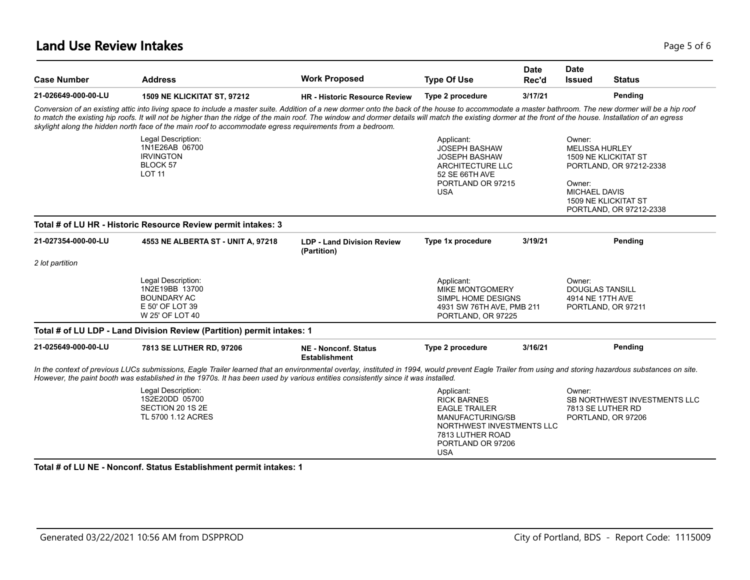### **Land Use Review Intakes** Page 1 of 6 and 2008 and 2008 and 2008 and 2008 and 2008 and 2008 and 2008 and 2008 and 2008 and 2008 and 2008 and 2008 and 2008 and 2008 and 2008 and 2008 and 2008 and 2008 and 2008 and 2008 and

| <b>Case Number</b>  | <b>Address</b>                                                                                                                                                                                                                                                                                                                                                                                                                                                                                                                | <b>Work Proposed</b>                                | <b>Type Of Use</b>                                                                                                                                               | <b>Date</b><br>Rec'd | <b>Date</b><br><b>Issued</b>                                               | <b>Status</b>                                                           |
|---------------------|-------------------------------------------------------------------------------------------------------------------------------------------------------------------------------------------------------------------------------------------------------------------------------------------------------------------------------------------------------------------------------------------------------------------------------------------------------------------------------------------------------------------------------|-----------------------------------------------------|------------------------------------------------------------------------------------------------------------------------------------------------------------------|----------------------|----------------------------------------------------------------------------|-------------------------------------------------------------------------|
| 21-026649-000-00-LU | <b>1509 NE KLICKITAT ST, 97212</b>                                                                                                                                                                                                                                                                                                                                                                                                                                                                                            | <b>HR</b> - Historic Resource Review                | Type 2 procedure                                                                                                                                                 | 3/17/21              |                                                                            | Pending                                                                 |
|                     | Conversion of an existing attic into living space to include a master suite. Addition of a new dormer onto the back of the house to accommodate a master bathroom. The new dormer will be a hip roof<br>to match the existing hip roofs. It will not be higher than the ridge of the main roof. The window and dormer details will match the existing dormer at the front of the house. Installation of an egress<br>skylight along the hidden north face of the main roof to accommodate egress requirements from a bedroom. |                                                     |                                                                                                                                                                  |                      |                                                                            |                                                                         |
|                     | Legal Description:<br>1N1E26AB 06700<br><b>IRVINGTON</b><br>BLOCK 57<br><b>LOT 11</b>                                                                                                                                                                                                                                                                                                                                                                                                                                         |                                                     | Applicant:<br><b>JOSEPH BASHAW</b><br><b>JOSEPH BASHAW</b><br><b>ARCHITECTURE LLC</b><br>52 SE 66TH AVE                                                          |                      | Owner:<br><b>MELISSA HURLEY</b>                                            | <b>1509 NE KLICKITAT ST</b><br>PORTLAND, OR 97212-2338                  |
|                     |                                                                                                                                                                                                                                                                                                                                                                                                                                                                                                                               |                                                     | PORTLAND OR 97215<br><b>USA</b>                                                                                                                                  |                      | Owner:<br>MICHAEL DAVIS                                                    | 1509 NE KLICKITAT ST<br>PORTLAND, OR 97212-2338                         |
|                     | Total # of LU HR - Historic Resource Review permit intakes: 3                                                                                                                                                                                                                                                                                                                                                                                                                                                                 |                                                     |                                                                                                                                                                  |                      |                                                                            |                                                                         |
| 21-027354-000-00-LU | 4553 NE ALBERTA ST - UNIT A, 97218                                                                                                                                                                                                                                                                                                                                                                                                                                                                                            | <b>LDP - Land Division Review</b><br>(Partition)    | Type 1x procedure                                                                                                                                                | 3/19/21              |                                                                            | Pending                                                                 |
| 2 lot partition     |                                                                                                                                                                                                                                                                                                                                                                                                                                                                                                                               |                                                     |                                                                                                                                                                  |                      |                                                                            |                                                                         |
|                     | Legal Description:<br>1N2E19BB 13700<br><b>BOUNDARY AC</b><br>E 50' OF LOT 39<br>W 25' OF LOT 40                                                                                                                                                                                                                                                                                                                                                                                                                              |                                                     | Applicant:<br><b>MIKE MONTGOMERY</b><br>SIMPL HOME DESIGNS<br>4931 SW 76TH AVE, PMB 211<br>PORTLAND, OR 97225                                                    |                      | Owner:<br><b>DOUGLAS TANSILL</b><br>4914 NE 17TH AVE<br>PORTLAND, OR 97211 |                                                                         |
|                     | Total # of LU LDP - Land Division Review (Partition) permit intakes: 1                                                                                                                                                                                                                                                                                                                                                                                                                                                        |                                                     |                                                                                                                                                                  |                      |                                                                            |                                                                         |
| 21-025649-000-00-LU | 7813 SE LUTHER RD, 97206                                                                                                                                                                                                                                                                                                                                                                                                                                                                                                      | <b>NE - Nonconf. Status</b><br><b>Establishment</b> | Type 2 procedure                                                                                                                                                 | 3/16/21              |                                                                            | Pending                                                                 |
|                     | In the context of previous LUCs submissions, Eagle Trailer learned that an environmental overlay, instituted in 1994, would prevent Eagle Trailer from using and storing hazardous substances on site.<br>However, the paint booth was established in the 1970s. It has been used by various entities consistently since it was installed.                                                                                                                                                                                    |                                                     |                                                                                                                                                                  |                      |                                                                            |                                                                         |
|                     | Legal Description:<br>1S2E20DD 05700<br>SECTION 20 1S 2E<br>TL 5700 1.12 ACRES                                                                                                                                                                                                                                                                                                                                                                                                                                                |                                                     | Applicant:<br><b>RICK BARNES</b><br><b>EAGLE TRAILER</b><br>MANUFACTURING/SB<br>NORTHWEST INVESTMENTS LLC<br>7813 LUTHER ROAD<br>PORTLAND OR 97206<br><b>USA</b> |                      | Owner:                                                                     | SB NORTHWEST INVESTMENTS LLC<br>7813 SE LUTHER RD<br>PORTLAND, OR 97206 |